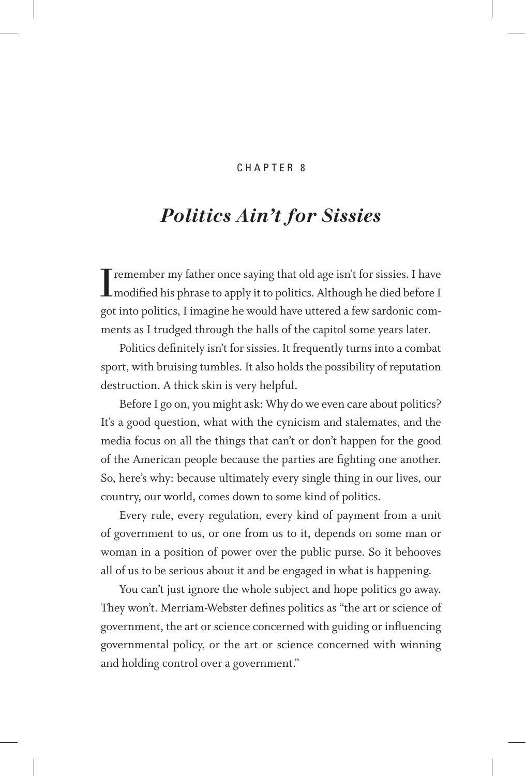#### CHAPTER 8

# *Politics Ain't for Sissies*

I modified his phrase to apply it to politics. Although he died before I remember my father once saying that old age isn't for sissies. I have got into politics, I imagine he would have uttered a few sardonic comments as I trudged through the halls of the capitol some years later.

Politics definitely isn't for sissies. It frequently turns into a combat sport, with bruising tumbles. It also holds the possibility of reputation destruction. A thick skin is very helpful.

Before I go on, you might ask: Why do we even care about politics? It's a good question, what with the cynicism and stalemates, and the media focus on all the things that can't or don't happen for the good of the American people because the parties are fighting one another. So, here's why: because ultimately every single thing in our lives, our country, our world, comes down to some kind of politics.

Every rule, every regulation, every kind of payment from a unit of government to us, or one from us to it, depends on some man or woman in a position of power over the public purse. So it behooves all of us to be serious about it and be engaged in what is happening.

You can't just ignore the whole subject and hope politics go away. They won't. Merriam-Webster defines politics as "the art or science of government, the art or science concerned with guiding or influencing governmental policy, or the art or science concerned with winning and holding control over a government."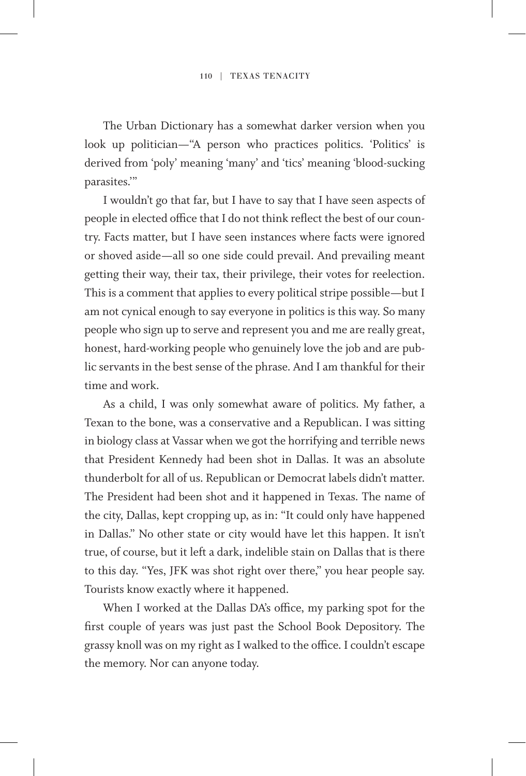The Urban Dictionary has a somewhat darker version when you look up politician—"A person who practices politics. 'Politics' is derived from 'poly' meaning 'many' and 'tics' meaning 'blood-sucking parasites.'"

I wouldn't go that far, but I have to say that I have seen aspects of people in elected office that I do not think reflect the best of our country. Facts matter, but I have seen instances where facts were ignored or shoved aside—all so one side could prevail. And prevailing meant getting their way, their tax, their privilege, their votes for reelection. This is a comment that applies to every political stripe possible—but I am not cynical enough to say everyone in politics is this way. So many people who sign up to serve and represent you and me are really great, honest, hard-working people who genuinely love the job and are public servants in the best sense of the phrase. And I am thankful for their time and work.

As a child, I was only somewhat aware of politics. My father, a Texan to the bone, was a conservative and a Republican. I was sitting in biology class at Vassar when we got the horrifying and terrible news that President Kennedy had been shot in Dallas. It was an absolute thunderbolt for all of us. Republican or Democrat labels didn't matter. The President had been shot and it happened in Texas. The name of the city, Dallas, kept cropping up, as in: "It could only have happened in Dallas." No other state or city would have let this happen. It isn't true, of course, but it left a dark, indelible stain on Dallas that is there to this day. "Yes, JFK was shot right over there," you hear people say. Tourists know exactly where it happened.

When I worked at the Dallas DA's office, my parking spot for the first couple of years was just past the School Book Depository. The grassy knoll was on my right as I walked to the office. I couldn't escape the memory. Nor can anyone today.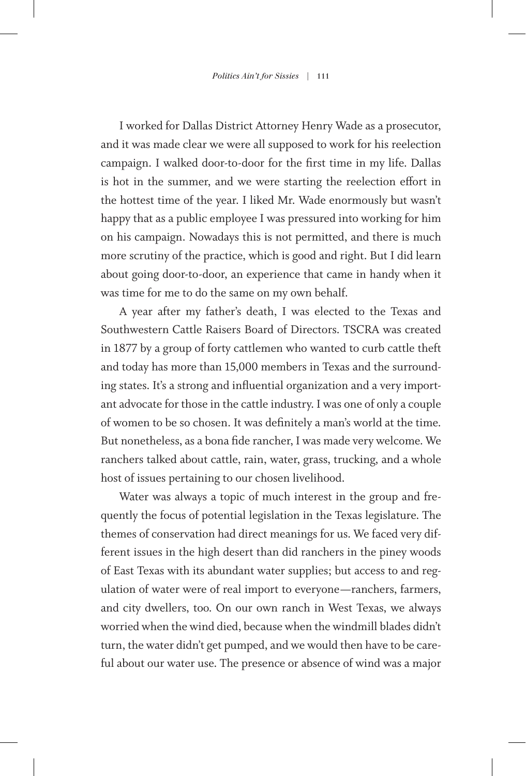I worked for Dallas District Attorney Henry Wade as a prosecutor, and it was made clear we were all supposed to work for his reelection campaign. I walked door-to-door for the first time in my life. Dallas is hot in the summer, and we were starting the reelection effort in the hottest time of the year. I liked Mr. Wade enormously but wasn't happy that as a public employee I was pressured into working for him on his campaign. Nowadays this is not permitted, and there is much more scrutiny of the practice, which is good and right. But I did learn about going door-to-door, an experience that came in handy when it was time for me to do the same on my own behalf.

A year after my father's death, I was elected to the Texas and Southwestern Cattle Raisers Board of Directors. TSCRA was created in 1877 by a group of forty cattlemen who wanted to curb cattle theft and today has more than 15,000 members in Texas and the surrounding states. It's a strong and influential organization and a very important advocate for those in the cattle industry. I was one of only a couple of women to be so chosen. It was definitely a man's world at the time. But nonetheless, as a bona fide rancher, I was made very welcome. We ranchers talked about cattle, rain, water, grass, trucking, and a whole host of issues pertaining to our chosen livelihood.

Water was always a topic of much interest in the group and frequently the focus of potential legislation in the Texas legislature. The themes of conservation had direct meanings for us. We faced very different issues in the high desert than did ranchers in the piney woods of East Texas with its abundant water supplies; but access to and regulation of water were of real import to everyone—ranchers, farmers, and city dwellers, too. On our own ranch in West Texas, we always worried when the wind died, because when the windmill blades didn't turn, the water didn't get pumped, and we would then have to be careful about our water use. The presence or absence of wind was a major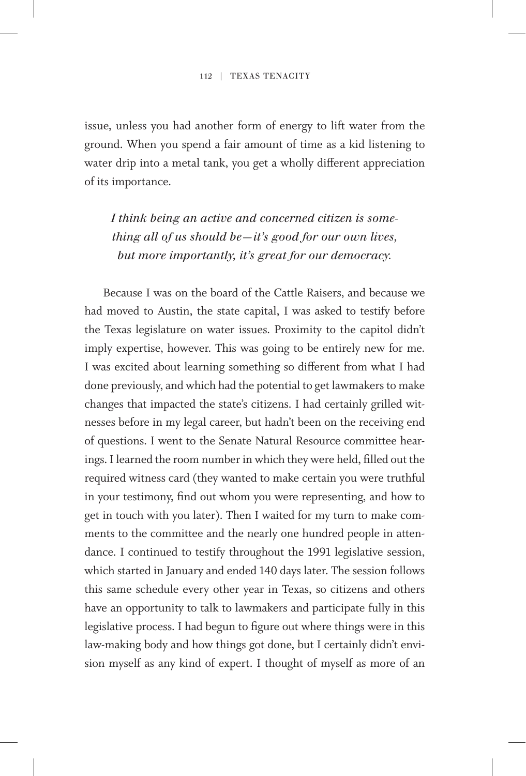issue, unless you had another form of energy to lift water from the ground. When you spend a fair amount of time as a kid listening to water drip into a metal tank, you get a wholly different appreciation of its importance.

*I think being an active and concerned citizen is something all of us should be—it's good for our own lives, but more importantly, it's great for our democracy.*

Because I was on the board of the Cattle Raisers, and because we had moved to Austin, the state capital, I was asked to testify before the Texas legislature on water issues. Proximity to the capitol didn't imply expertise, however. This was going to be entirely new for me. I was excited about learning something so different from what I had done previously, and which had the potential to get lawmakers to make changes that impacted the state's citizens. I had certainly grilled witnesses before in my legal career, but hadn't been on the receiving end of questions. I went to the Senate Natural Resource committee hearings. I learned the room number in which they were held, filled out the required witness card (they wanted to make certain you were truthful in your testimony, find out whom you were representing, and how to get in touch with you later). Then I waited for my turn to make comments to the committee and the nearly one hundred people in attendance. I continued to testify throughout the 1991 legislative session, which started in January and ended 140 days later. The session follows this same schedule every other year in Texas, so citizens and others have an opportunity to talk to lawmakers and participate fully in this legislative process. I had begun to figure out where things were in this law-making body and how things got done, but I certainly didn't envision myself as any kind of expert. I thought of myself as more of an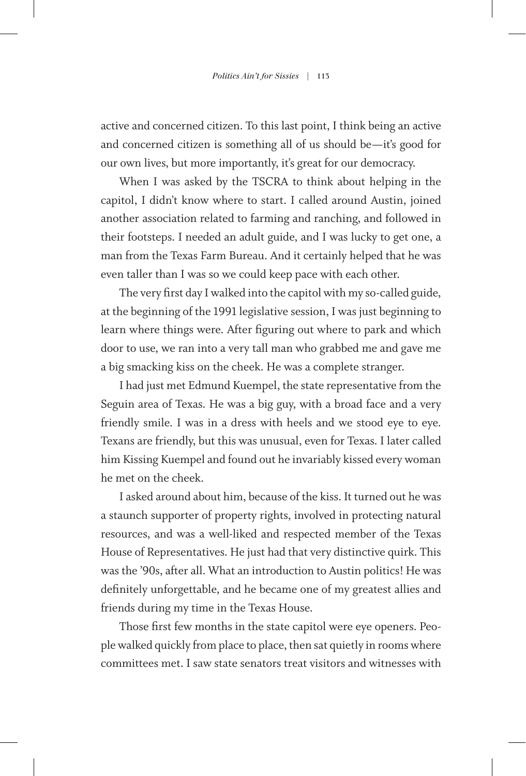active and concerned citizen. To this last point, I think being an active and concerned citizen is something all of us should be—it's good for our own lives, but more importantly, it's great for our democracy.

When I was asked by the TSCRA to think about helping in the capitol, I didn't know where to start. I called around Austin, joined another association related to farming and ranching, and followed in their footsteps. I needed an adult guide, and I was lucky to get one, a man from the Texas Farm Bureau. And it certainly helped that he was even taller than I was so we could keep pace with each other.

The very first day I walked into the capitol with my so-called guide, at the beginning of the 1991 legislative session, I was just beginning to learn where things were. After figuring out where to park and which door to use, we ran into a very tall man who grabbed me and gave me a big smacking kiss on the cheek. He was a complete stranger.

I had just met Edmund Kuempel, the state representative from the Seguin area of Texas. He was a big guy, with a broad face and a very friendly smile. I was in a dress with heels and we stood eye to eye. Texans are friendly, but this was unusual, even for Texas. I later called him Kissing Kuempel and found out he invariably kissed every woman he met on the cheek.

I asked around about him, because of the kiss. It turned out he was a staunch supporter of property rights, involved in protecting natural resources, and was a well-liked and respected member of the Texas House of Representatives. He just had that very distinctive quirk. This was the '90s, after all. What an introduction to Austin politics! He was definitely unforgettable, and he became one of my greatest allies and friends during my time in the Texas House.

Those first few months in the state capitol were eye openers. People walked quickly from place to place, then sat quietly in rooms where committees met. I saw state senators treat visitors and witnesses with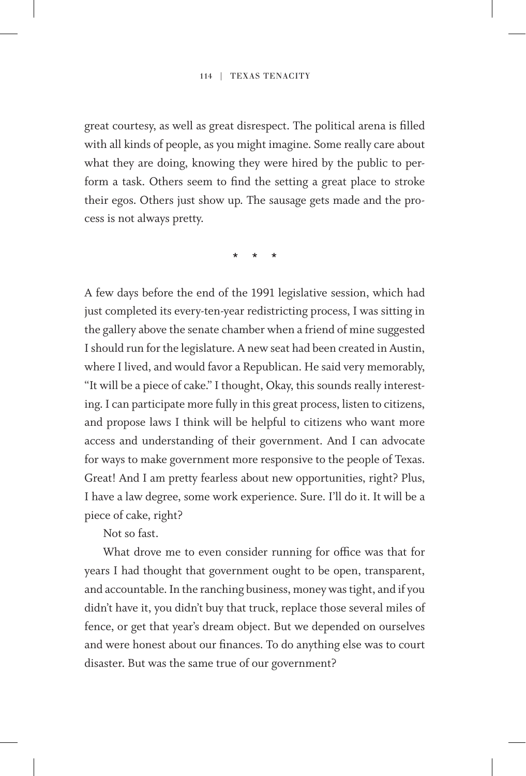great courtesy, as well as great disrespect. The political arena is filled with all kinds of people, as you might imagine. Some really care about what they are doing, knowing they were hired by the public to perform a task. Others seem to find the setting a great place to stroke their egos. Others just show up. The sausage gets made and the process is not always pretty.

\* \* \*

A few days before the end of the 1991 legislative session, which had just completed its every-ten-year redistricting process, I was sitting in the gallery above the senate chamber when a friend of mine suggested I should run for the legislature. A new seat had been created in Austin, where I lived, and would favor a Republican. He said very memorably, "It will be a piece of cake." I thought, Okay, this sounds really interesting. I can participate more fully in this great process, listen to citizens, and propose laws I think will be helpful to citizens who want more access and understanding of their government. And I can advocate for ways to make government more responsive to the people of Texas. Great! And I am pretty fearless about new opportunities, right? Plus, I have a law degree, some work experience. Sure. I'll do it. It will be a piece of cake, right?

Not so fast.

What drove me to even consider running for office was that for years I had thought that government ought to be open, transparent, and accountable. In the ranching business, money was tight, and if you didn't have it, you didn't buy that truck, replace those several miles of fence, or get that year's dream object. But we depended on ourselves and were honest about our finances. To do anything else was to court disaster. But was the same true of our government?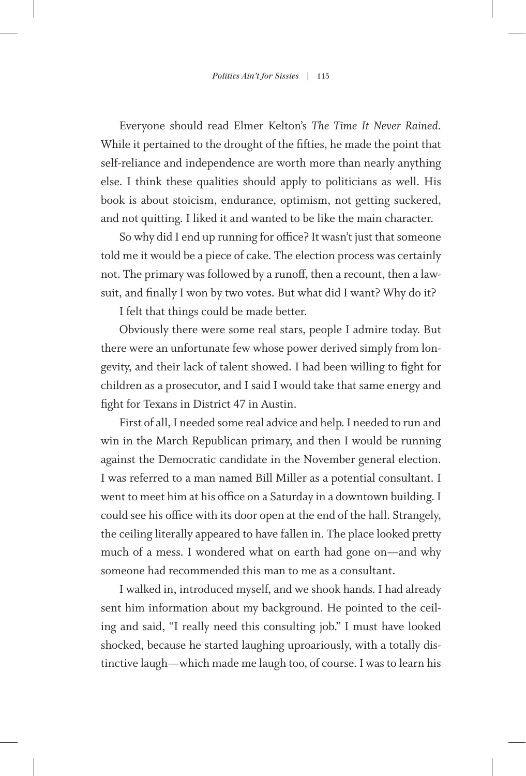Everyone should read Elmer Kelton's *The Time It Never Rained*. While it pertained to the drought of the fifties, he made the point that self-reliance and independence are worth more than nearly anything else. I think these qualities should apply to politicians as well. His book is about stoicism, endurance, optimism, not getting suckered, and not quitting. I liked it and wanted to be like the main character.

So why did I end up running for office? It wasn't just that someone told me it would be a piece of cake. The election process was certainly not. The primary was followed by a runoff, then a recount, then a lawsuit, and finally I won by two votes. But what did I want? Why do it?

I felt that things could be made better.

Obviously there were some real stars, people I admire today. But there were an unfortunate few whose power derived simply from longevity, and their lack of talent showed. I had been willing to fight for children as a prosecutor, and I said I would take that same energy and fight for Texans in District 47 in Austin.

First of all, I needed some real advice and help. I needed to run and win in the March Republican primary, and then I would be running against the Democratic candidate in the November general election. I was referred to a man named Bill Miller as a potential consultant. I went to meet him at his office on a Saturday in a downtown building. I could see his office with its door open at the end of the hall. Strangely, the ceiling literally appeared to have fallen in. The place looked pretty much of a mess. I wondered what on earth had gone on—and why someone had recommended this man to me as a consultant.

I walked in, introduced myself, and we shook hands. I had already sent him information about my background. He pointed to the ceiling and said, "I really need this consulting job." I must have looked shocked, because he started laughing uproariously, with a totally distinctive laugh—which made me laugh too, of course. I was to learn his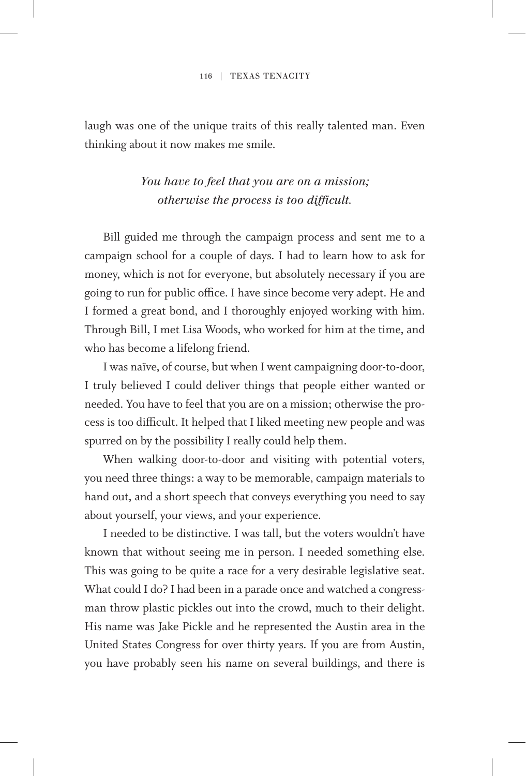#### 116 | Texas Tenacity

laugh was one of the unique traits of this really talented man. Even thinking about it now makes me smile.

## *You have to feel that you are on a mission; otherwise the process is too difficult.*

Bill guided me through the campaign process and sent me to a campaign school for a couple of days. I had to learn how to ask for money, which is not for everyone, but absolutely necessary if you are going to run for public office. I have since become very adept. He and I formed a great bond, and I thoroughly enjoyed working with him. Through Bill, I met Lisa Woods, who worked for him at the time, and who has become a lifelong friend.

I was naïve, of course, but when I went campaigning door-to-door, I truly believed I could deliver things that people either wanted or needed. You have to feel that you are on a mission; otherwise the process is too difficult. It helped that I liked meeting new people and was spurred on by the possibility I really could help them.

When walking door-to-door and visiting with potential voters, you need three things: a way to be memorable, campaign materials to hand out, and a short speech that conveys everything you need to say about yourself, your views, and your experience.

I needed to be distinctive. I was tall, but the voters wouldn't have known that without seeing me in person. I needed something else. This was going to be quite a race for a very desirable legislative seat. What could I do? I had been in a parade once and watched a congressman throw plastic pickles out into the crowd, much to their delight. His name was Jake Pickle and he represented the Austin area in the United States Congress for over thirty years. If you are from Austin, you have probably seen his name on several buildings, and there is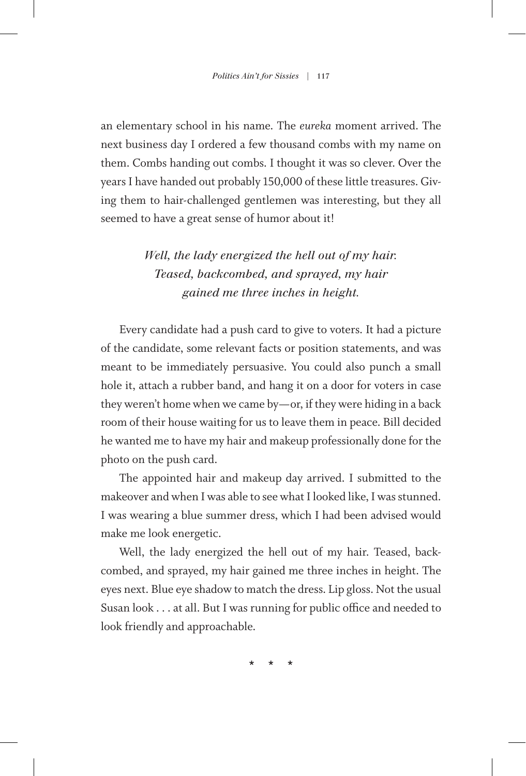an elementary school in his name. The *eureka* moment arrived. The next business day I ordered a few thousand combs with my name on them. Combs handing out combs. I thought it was so clever. Over the years I have handed out probably 150,000 of these little treasures. Giving them to hair-challenged gentlemen was interesting, but they all seemed to have a great sense of humor about it!

> *Well, the lady energized the hell out of my hair. Teased, backcombed, and sprayed, my hair gained me three inches in height.*

Every candidate had a push card to give to voters. It had a picture of the candidate, some relevant facts or position statements, and was meant to be immediately persuasive. You could also punch a small hole it, attach a rubber band, and hang it on a door for voters in case they weren't home when we came by—or, if they were hiding in a back room of their house waiting for us to leave them in peace. Bill decided he wanted me to have my hair and makeup professionally done for the photo on the push card.

The appointed hair and makeup day arrived. I submitted to the makeover and when I was able to see what I looked like, I was stunned. I was wearing a blue summer dress, which I had been advised would make me look energetic.

Well, the lady energized the hell out of my hair. Teased, backcombed, and sprayed, my hair gained me three inches in height. The eyes next. Blue eye shadow to match the dress. Lip gloss. Not the usual Susan look . . . at all. But I was running for public office and needed to look friendly and approachable.

\* \* \*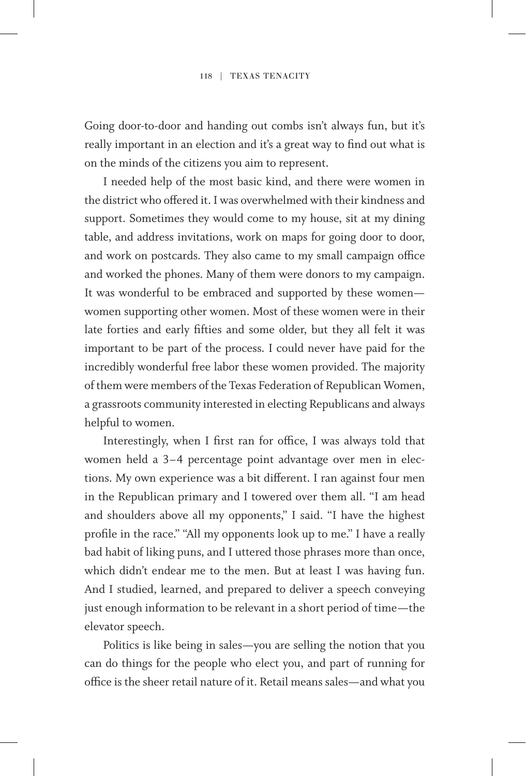Going door-to-door and handing out combs isn't always fun, but it's really important in an election and it's a great way to find out what is on the minds of the citizens you aim to represent.

I needed help of the most basic kind, and there were women in the district who offered it. I was overwhelmed with their kindness and support. Sometimes they would come to my house, sit at my dining table, and address invitations, work on maps for going door to door, and work on postcards. They also came to my small campaign office and worked the phones. Many of them were donors to my campaign. It was wonderful to be embraced and supported by these women women supporting other women. Most of these women were in their late forties and early fifties and some older, but they all felt it was important to be part of the process. I could never have paid for the incredibly wonderful free labor these women provided. The majority of them were members of the Texas Federation of Republican Women, a grassroots community interested in electing Republicans and always helpful to women.

Interestingly, when I first ran for office, I was always told that women held a 3–4 percentage point advantage over men in elections. My own experience was a bit different. I ran against four men in the Republican primary and I towered over them all. "I am head and shoulders above all my opponents," I said. "I have the highest profile in the race." "All my opponents look up to me." I have a really bad habit of liking puns, and I uttered those phrases more than once, which didn't endear me to the men. But at least I was having fun. And I studied, learned, and prepared to deliver a speech conveying just enough information to be relevant in a short period of time—the elevator speech.

Politics is like being in sales—you are selling the notion that you can do things for the people who elect you, and part of running for office is the sheer retail nature of it. Retail means sales—and what you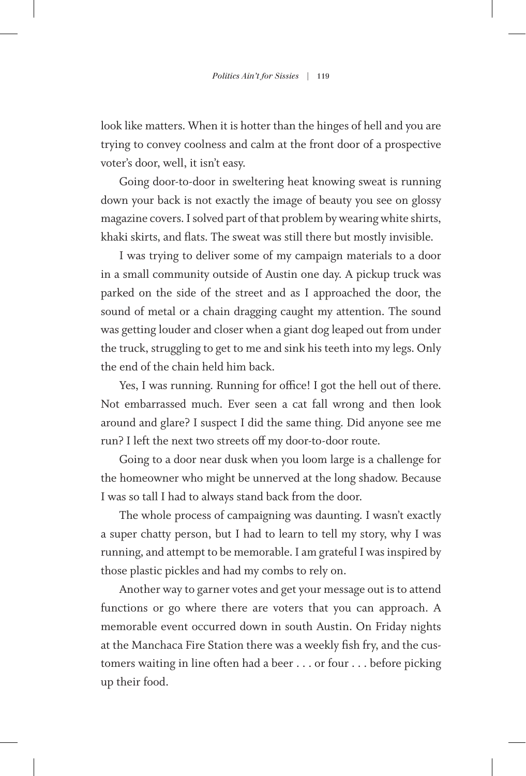look like matters. When it is hotter than the hinges of hell and you are trying to convey coolness and calm at the front door of a prospective voter's door, well, it isn't easy.

Going door-to-door in sweltering heat knowing sweat is running down your back is not exactly the image of beauty you see on glossy magazine covers. I solved part of that problem by wearing white shirts, khaki skirts, and flats. The sweat was still there but mostly invisible.

I was trying to deliver some of my campaign materials to a door in a small community outside of Austin one day. A pickup truck was parked on the side of the street and as I approached the door, the sound of metal or a chain dragging caught my attention. The sound was getting louder and closer when a giant dog leaped out from under the truck, struggling to get to me and sink his teeth into my legs. Only the end of the chain held him back.

Yes, I was running. Running for office! I got the hell out of there. Not embarrassed much. Ever seen a cat fall wrong and then look around and glare? I suspect I did the same thing. Did anyone see me run? I left the next two streets off my door-to-door route.

Going to a door near dusk when you loom large is a challenge for the homeowner who might be unnerved at the long shadow. Because I was so tall I had to always stand back from the door.

The whole process of campaigning was daunting. I wasn't exactly a super chatty person, but I had to learn to tell my story, why I was running, and attempt to be memorable. I am grateful I was inspired by those plastic pickles and had my combs to rely on.

Another way to garner votes and get your message out is to attend functions or go where there are voters that you can approach. A memorable event occurred down in south Austin. On Friday nights at the Manchaca Fire Station there was a weekly fish fry, and the customers waiting in line often had a beer . . . or four . . . before picking up their food.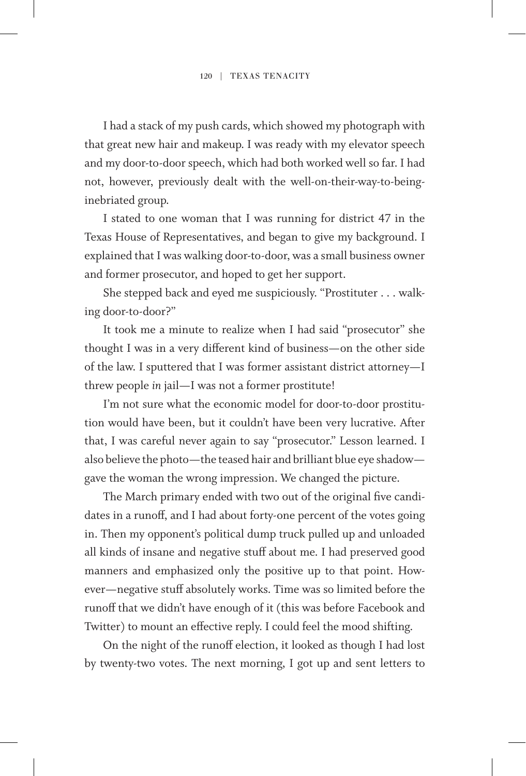I had a stack of my push cards, which showed my photograph with that great new hair and makeup. I was ready with my elevator speech and my door-to-door speech, which had both worked well so far. I had not, however, previously dealt with the well-on-their-way-to-beinginebriated group.

I stated to one woman that I was running for district 47 in the Texas House of Representatives, and began to give my background. I explained that I was walking door-to-door, was a small business owner and former prosecutor, and hoped to get her support.

She stepped back and eyed me suspiciously. "Prostituter . . . walking door-to-door?"

It took me a minute to realize when I had said "prosecutor" she thought I was in a very different kind of business—on the other side of the law. I sputtered that I was former assistant district attorney—I threw people *in* jail—I was not a former prostitute!

I'm not sure what the economic model for door-to-door prostitution would have been, but it couldn't have been very lucrative. After that, I was careful never again to say "prosecutor." Lesson learned. I also believe the photo—the teased hair and brilliant blue eye shadow gave the woman the wrong impression. We changed the picture.

The March primary ended with two out of the original five candidates in a runoff, and I had about forty-one percent of the votes going in. Then my opponent's political dump truck pulled up and unloaded all kinds of insane and negative stuff about me. I had preserved good manners and emphasized only the positive up to that point. However—negative stuff absolutely works. Time was so limited before the runoff that we didn't have enough of it (this was before Facebook and Twitter) to mount an effective reply. I could feel the mood shifting.

On the night of the runoff election, it looked as though I had lost by twenty-two votes. The next morning, I got up and sent letters to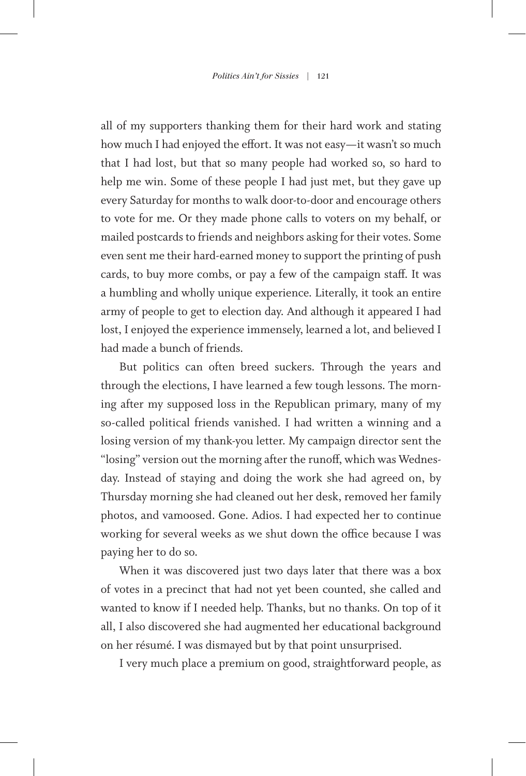all of my supporters thanking them for their hard work and stating how much I had enjoyed the effort. It was not easy—it wasn't so much that I had lost, but that so many people had worked so, so hard to help me win. Some of these people I had just met, but they gave up every Saturday for months to walk door-to-door and encourage others to vote for me. Or they made phone calls to voters on my behalf, or mailed postcards to friends and neighbors asking for their votes. Some even sent me their hard-earned money to support the printing of push cards, to buy more combs, or pay a few of the campaign staff. It was a humbling and wholly unique experience. Literally, it took an entire army of people to get to election day. And although it appeared I had lost, I enjoyed the experience immensely, learned a lot, and believed I had made a bunch of friends.

But politics can often breed suckers. Through the years and through the elections, I have learned a few tough lessons. The morning after my supposed loss in the Republican primary, many of my so-called political friends vanished. I had written a winning and a losing version of my thank-you letter. My campaign director sent the "losing" version out the morning after the runoff, which was Wednesday. Instead of staying and doing the work she had agreed on, by Thursday morning she had cleaned out her desk, removed her family photos, and vamoosed. Gone. Adios. I had expected her to continue working for several weeks as we shut down the office because I was paying her to do so.

When it was discovered just two days later that there was a box of votes in a precinct that had not yet been counted, she called and wanted to know if I needed help. Thanks, but no thanks. On top of it all, I also discovered she had augmented her educational background on her résumé. I was dismayed but by that point unsurprised.

I very much place a premium on good, straightforward people, as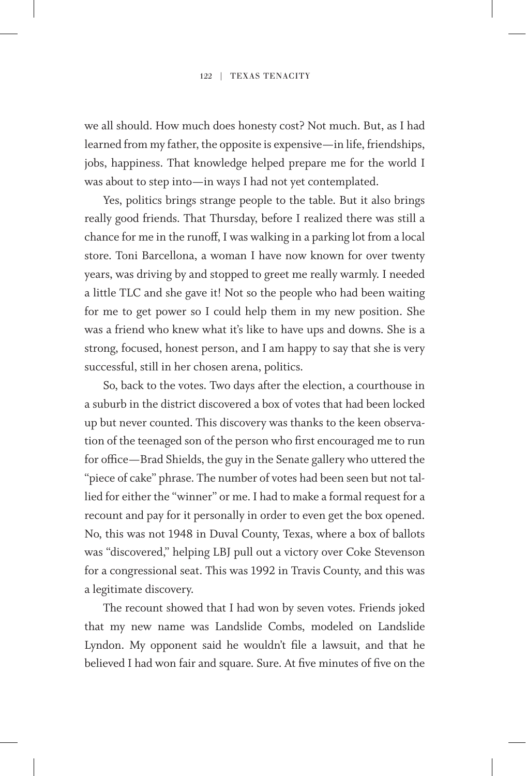we all should. How much does honesty cost? Not much. But, as I had learned from my father, the opposite is expensive—in life, friendships, jobs, happiness. That knowledge helped prepare me for the world I was about to step into—in ways I had not yet contemplated.

Yes, politics brings strange people to the table. But it also brings really good friends. That Thursday, before I realized there was still a chance for me in the runoff, I was walking in a parking lot from a local store. Toni Barcellona, a woman I have now known for over twenty years, was driving by and stopped to greet me really warmly. I needed a little TLC and she gave it! Not so the people who had been waiting for me to get power so I could help them in my new position. She was a friend who knew what it's like to have ups and downs. She is a strong, focused, honest person, and I am happy to say that she is very successful, still in her chosen arena, politics.

So, back to the votes. Two days after the election, a courthouse in a suburb in the district discovered a box of votes that had been locked up but never counted. This discovery was thanks to the keen observation of the teenaged son of the person who first encouraged me to run for office—Brad Shields, the guy in the Senate gallery who uttered the "piece of cake" phrase. The number of votes had been seen but not tallied for either the "winner" or me. I had to make a formal request for a recount and pay for it personally in order to even get the box opened. No, this was not 1948 in Duval County, Texas, where a box of ballots was "discovered," helping LBJ pull out a victory over Coke Stevenson for a congressional seat. This was 1992 in Travis County, and this was a legitimate discovery.

The recount showed that I had won by seven votes. Friends joked that my new name was Landslide Combs, modeled on Landslide Lyndon. My opponent said he wouldn't file a lawsuit, and that he believed I had won fair and square. Sure. At five minutes of five on the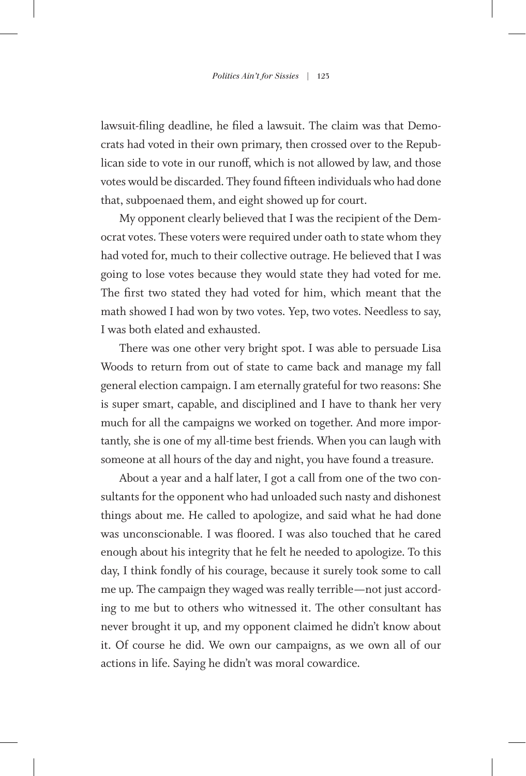lawsuit-filing deadline, he filed a lawsuit. The claim was that Democrats had voted in their own primary, then crossed over to the Republican side to vote in our runoff, which is not allowed by law, and those votes would be discarded. They found fifteen individuals who had done that, subpoenaed them, and eight showed up for court.

My opponent clearly believed that I was the recipient of the Democrat votes. These voters were required under oath to state whom they had voted for, much to their collective outrage. He believed that I was going to lose votes because they would state they had voted for me. The first two stated they had voted for him, which meant that the math showed I had won by two votes. Yep, two votes. Needless to say, I was both elated and exhausted.

There was one other very bright spot. I was able to persuade Lisa Woods to return from out of state to came back and manage my fall general election campaign. I am eternally grateful for two reasons: She is super smart, capable, and disciplined and I have to thank her very much for all the campaigns we worked on together. And more importantly, she is one of my all-time best friends. When you can laugh with someone at all hours of the day and night, you have found a treasure.

About a year and a half later, I got a call from one of the two consultants for the opponent who had unloaded such nasty and dishonest things about me. He called to apologize, and said what he had done was unconscionable. I was floored. I was also touched that he cared enough about his integrity that he felt he needed to apologize. To this day, I think fondly of his courage, because it surely took some to call me up. The campaign they waged was really terrible—not just according to me but to others who witnessed it. The other consultant has never brought it up, and my opponent claimed he didn't know about it. Of course he did. We own our campaigns, as we own all of our actions in life. Saying he didn't was moral cowardice.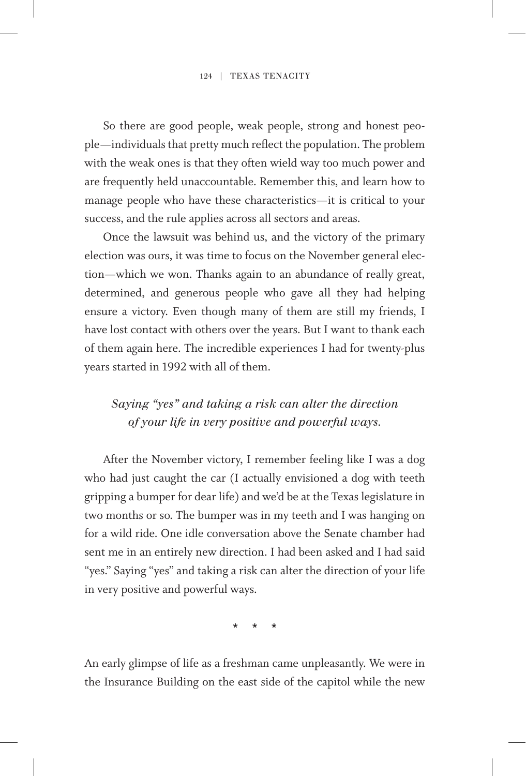So there are good people, weak people, strong and honest people—individuals that pretty much reflect the population. The problem with the weak ones is that they often wield way too much power and are frequently held unaccountable. Remember this, and learn how to manage people who have these characteristics—it is critical to your success, and the rule applies across all sectors and areas.

Once the lawsuit was behind us, and the victory of the primary election was ours, it was time to focus on the November general election—which we won. Thanks again to an abundance of really great, determined, and generous people who gave all they had helping ensure a victory. Even though many of them are still my friends, I have lost contact with others over the years. But I want to thank each of them again here. The incredible experiences I had for twenty-plus years started in 1992 with all of them.

#### *Saying "yes" and taking a risk can alter the direction of your life in very positive and powerful ways.*

After the November victory, I remember feeling like I was a dog who had just caught the car (I actually envisioned a dog with teeth gripping a bumper for dear life) and we'd be at the Texas legislature in two months or so. The bumper was in my teeth and I was hanging on for a wild ride. One idle conversation above the Senate chamber had sent me in an entirely new direction. I had been asked and I had said "yes." Saying "yes" and taking a risk can alter the direction of your life in very positive and powerful ways.

\* \* \*

An early glimpse of life as a freshman came unpleasantly. We were in the Insurance Building on the east side of the capitol while the new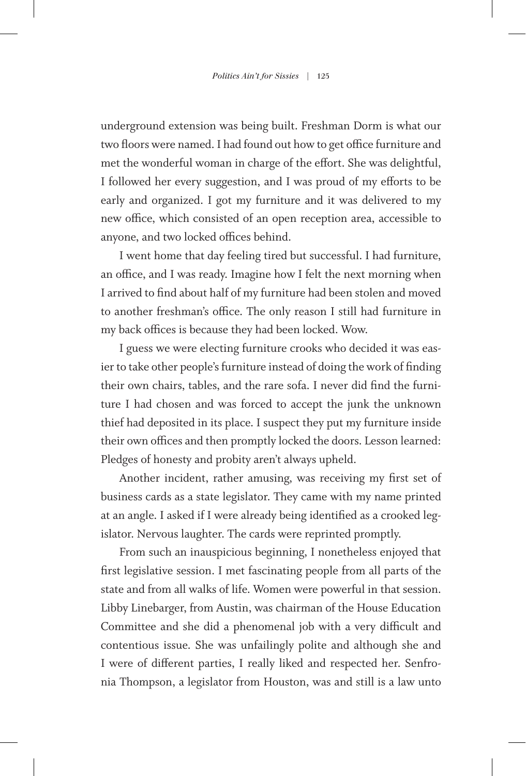underground extension was being built. Freshman Dorm is what our two floors were named. I had found out how to get office furniture and met the wonderful woman in charge of the effort. She was delightful, I followed her every suggestion, and I was proud of my efforts to be early and organized. I got my furniture and it was delivered to my new office, which consisted of an open reception area, accessible to anyone, and two locked offices behind.

I went home that day feeling tired but successful. I had furniture, an office, and I was ready. Imagine how I felt the next morning when I arrived to find about half of my furniture had been stolen and moved to another freshman's office. The only reason I still had furniture in my back offices is because they had been locked. Wow.

I guess we were electing furniture crooks who decided it was easier to take other people's furniture instead of doing the work of finding their own chairs, tables, and the rare sofa. I never did find the furniture I had chosen and was forced to accept the junk the unknown thief had deposited in its place. I suspect they put my furniture inside their own offices and then promptly locked the doors. Lesson learned: Pledges of honesty and probity aren't always upheld.

Another incident, rather amusing, was receiving my first set of business cards as a state legislator. They came with my name printed at an angle. I asked if I were already being identified as a crooked legislator. Nervous laughter. The cards were reprinted promptly.

From such an inauspicious beginning, I nonetheless enjoyed that first legislative session. I met fascinating people from all parts of the state and from all walks of life. Women were powerful in that session. Libby Linebarger, from Austin, was chairman of the House Education Committee and she did a phenomenal job with a very difficult and contentious issue. She was unfailingly polite and although she and I were of different parties, I really liked and respected her. Senfronia Thompson, a legislator from Houston, was and still is a law unto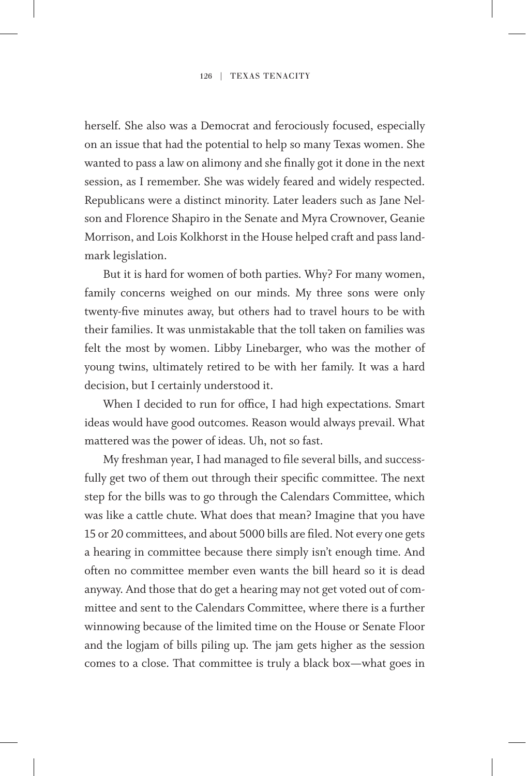herself. She also was a Democrat and ferociously focused, especially on an issue that had the potential to help so many Texas women. She wanted to pass a law on alimony and she finally got it done in the next session, as I remember. She was widely feared and widely respected. Republicans were a distinct minority. Later leaders such as Jane Nelson and Florence Shapiro in the Senate and Myra Crownover, Geanie Morrison, and Lois Kolkhorst in the House helped craft and pass landmark legislation.

But it is hard for women of both parties. Why? For many women, family concerns weighed on our minds. My three sons were only twenty-five minutes away, but others had to travel hours to be with their families. It was unmistakable that the toll taken on families was felt the most by women. Libby Linebarger, who was the mother of young twins, ultimately retired to be with her family. It was a hard decision, but I certainly understood it.

When I decided to run for office, I had high expectations. Smart ideas would have good outcomes. Reason would always prevail. What mattered was the power of ideas. Uh, not so fast.

My freshman year, I had managed to file several bills, and successfully get two of them out through their specific committee. The next step for the bills was to go through the Calendars Committee, which was like a cattle chute. What does that mean? Imagine that you have 15 or 20 committees, and about 5000 bills are filed. Not every one gets a hearing in committee because there simply isn't enough time. And often no committee member even wants the bill heard so it is dead anyway. And those that do get a hearing may not get voted out of committee and sent to the Calendars Committee, where there is a further winnowing because of the limited time on the House or Senate Floor and the logjam of bills piling up. The jam gets higher as the session comes to a close. That committee is truly a black box—what goes in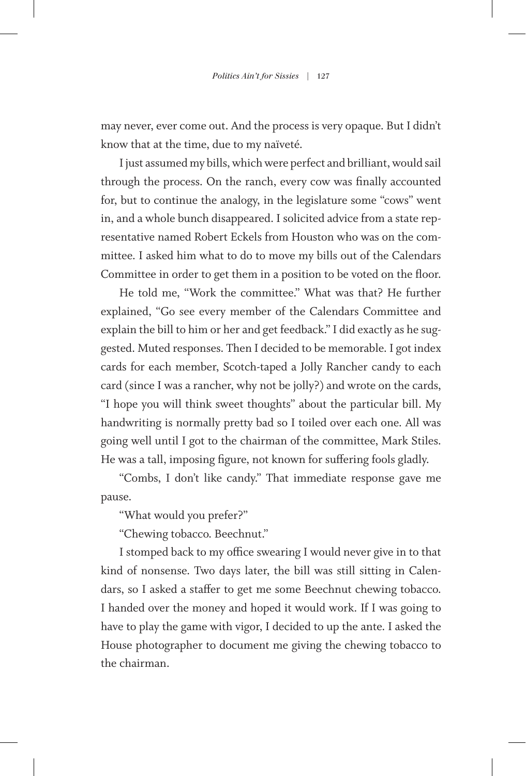may never, ever come out. And the process is very opaque. But I didn't know that at the time, due to my naïveté.

I just assumed my bills, which were perfect and brilliant, would sail through the process. On the ranch, every cow was finally accounted for, but to continue the analogy, in the legislature some "cows" went in, and a whole bunch disappeared. I solicited advice from a state representative named Robert Eckels from Houston who was on the committee. I asked him what to do to move my bills out of the Calendars Committee in order to get them in a position to be voted on the floor.

He told me, "Work the committee." What was that? He further explained, "Go see every member of the Calendars Committee and explain the bill to him or her and get feedback." I did exactly as he suggested. Muted responses. Then I decided to be memorable. I got index cards for each member, Scotch-taped a Jolly Rancher candy to each card (since I was a rancher, why not be jolly?) and wrote on the cards, "I hope you will think sweet thoughts" about the particular bill. My handwriting is normally pretty bad so I toiled over each one. All was going well until I got to the chairman of the committee, Mark Stiles. He was a tall, imposing figure, not known for suffering fools gladly.

"Combs, I don't like candy." That immediate response gave me pause.

"What would you prefer?"

"Chewing tobacco. Beechnut."

I stomped back to my office swearing I would never give in to that kind of nonsense. Two days later, the bill was still sitting in Calendars, so I asked a staffer to get me some Beechnut chewing tobacco. I handed over the money and hoped it would work. If I was going to have to play the game with vigor, I decided to up the ante. I asked the House photographer to document me giving the chewing tobacco to the chairman.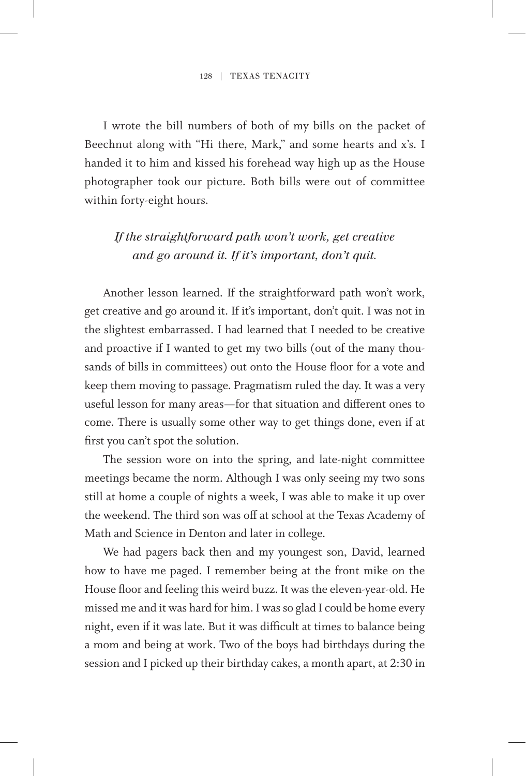I wrote the bill numbers of both of my bills on the packet of Beechnut along with "Hi there, Mark," and some hearts and x's. I handed it to him and kissed his forehead way high up as the House photographer took our picture. Both bills were out of committee within forty-eight hours.

## *If the straightforward path won't work, get creative and go around it. If it's important, don't quit.*

Another lesson learned. If the straightforward path won't work, get creative and go around it. If it's important, don't quit. I was not in the slightest embarrassed. I had learned that I needed to be creative and proactive if I wanted to get my two bills (out of the many thousands of bills in committees) out onto the House floor for a vote and keep them moving to passage. Pragmatism ruled the day. It was a very useful lesson for many areas—for that situation and different ones to come. There is usually some other way to get things done, even if at first you can't spot the solution.

The session wore on into the spring, and late-night committee meetings became the norm. Although I was only seeing my two sons still at home a couple of nights a week, I was able to make it up over the weekend. The third son was off at school at the Texas Academy of Math and Science in Denton and later in college.

We had pagers back then and my youngest son, David, learned how to have me paged. I remember being at the front mike on the House floor and feeling this weird buzz. It was the eleven-year-old. He missed me and it was hard for him. I was so glad I could be home every night, even if it was late. But it was difficult at times to balance being a mom and being at work. Two of the boys had birthdays during the session and I picked up their birthday cakes, a month apart, at 2:30 in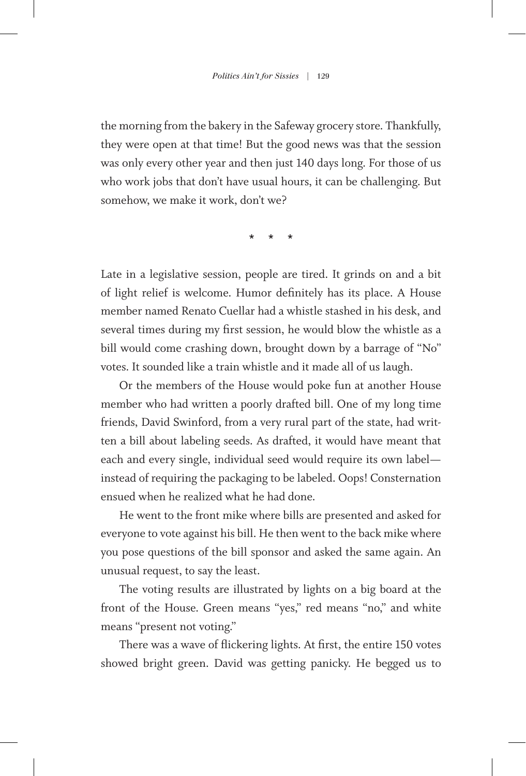the morning from the bakery in the Safeway grocery store. Thankfully, they were open at that time! But the good news was that the session was only every other year and then just 140 days long. For those of us who work jobs that don't have usual hours, it can be challenging. But somehow, we make it work, don't we?

\* \* \*

Late in a legislative session, people are tired. It grinds on and a bit of light relief is welcome. Humor definitely has its place. A House member named Renato Cuellar had a whistle stashed in his desk, and several times during my first session, he would blow the whistle as a bill would come crashing down, brought down by a barrage of "No" votes. It sounded like a train whistle and it made all of us laugh.

Or the members of the House would poke fun at another House member who had written a poorly drafted bill. One of my long time friends, David Swinford, from a very rural part of the state, had written a bill about labeling seeds. As drafted, it would have meant that each and every single, individual seed would require its own label instead of requiring the packaging to be labeled. Oops! Consternation ensued when he realized what he had done.

He went to the front mike where bills are presented and asked for everyone to vote against his bill. He then went to the back mike where you pose questions of the bill sponsor and asked the same again. An unusual request, to say the least.

The voting results are illustrated by lights on a big board at the front of the House. Green means "yes," red means "no," and white means "present not voting."

There was a wave of flickering lights. At first, the entire 150 votes showed bright green. David was getting panicky. He begged us to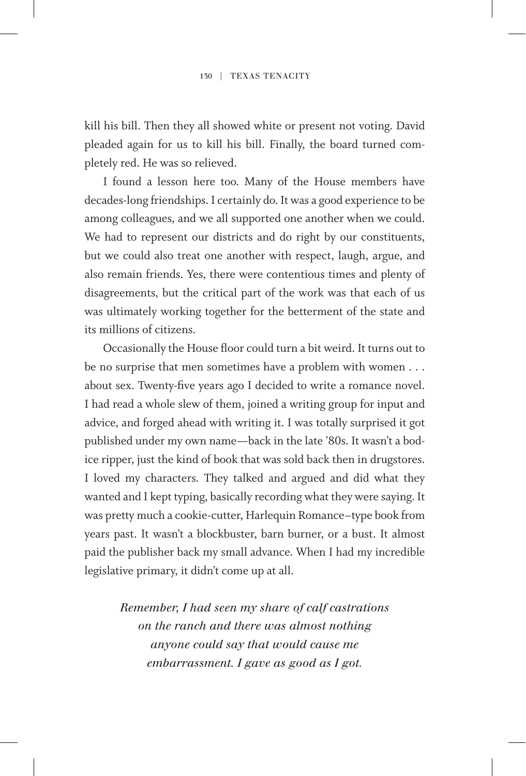kill his bill. Then they all showed white or present not voting. David pleaded again for us to kill his bill. Finally, the board turned completely red. He was so relieved.

I found a lesson here too. Many of the House members have decades-long friendships. I certainly do. It was a good experience to be among colleagues, and we all supported one another when we could. We had to represent our districts and do right by our constituents, but we could also treat one another with respect, laugh, argue, and also remain friends. Yes, there were contentious times and plenty of disagreements, but the critical part of the work was that each of us was ultimately working together for the betterment of the state and its millions of citizens.

Occasionally the House floor could turn a bit weird. It turns out to be no surprise that men sometimes have a problem with women . . . about sex. Twenty-five years ago I decided to write a romance novel. I had read a whole slew of them, joined a writing group for input and advice, and forged ahead with writing it. I was totally surprised it got published under my own name—back in the late '80s. It wasn't a bodice ripper, just the kind of book that was sold back then in drugstores. I loved my characters. They talked and argued and did what they wanted and I kept typing, basically recording what they were saying. It was pretty much a cookie-cutter, Harlequin Romance–type book from years past. It wasn't a blockbuster, barn burner, or a bust. It almost paid the publisher back my small advance. When I had my incredible legislative primary, it didn't come up at all.

> *Remember, I had seen my share of calf castrations on the ranch and there was almost nothing anyone could say that would cause me embarrassment. I gave as good as I got.*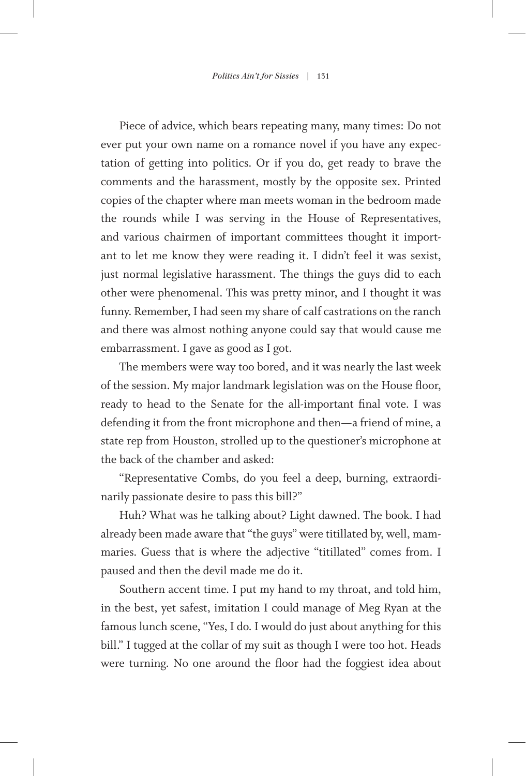Piece of advice, which bears repeating many, many times: Do not ever put your own name on a romance novel if you have any expectation of getting into politics. Or if you do, get ready to brave the comments and the harassment, mostly by the opposite sex. Printed copies of the chapter where man meets woman in the bedroom made the rounds while I was serving in the House of Representatives, and various chairmen of important committees thought it important to let me know they were reading it. I didn't feel it was sexist, just normal legislative harassment. The things the guys did to each other were phenomenal. This was pretty minor, and I thought it was funny. Remember, I had seen my share of calf castrations on the ranch and there was almost nothing anyone could say that would cause me embarrassment. I gave as good as I got.

The members were way too bored, and it was nearly the last week of the session. My major landmark legislation was on the House floor, ready to head to the Senate for the all-important final vote. I was defending it from the front microphone and then—a friend of mine, a state rep from Houston, strolled up to the questioner's microphone at the back of the chamber and asked:

"Representative Combs, do you feel a deep, burning, extraordinarily passionate desire to pass this bill?"

Huh? What was he talking about? Light dawned. The book. I had already been made aware that "the guys" were titillated by, well, mammaries. Guess that is where the adjective "titillated" comes from. I paused and then the devil made me do it.

Southern accent time. I put my hand to my throat, and told him, in the best, yet safest, imitation I could manage of Meg Ryan at the famous lunch scene, "Yes, I do. I would do just about anything for this bill." I tugged at the collar of my suit as though I were too hot. Heads were turning. No one around the floor had the foggiest idea about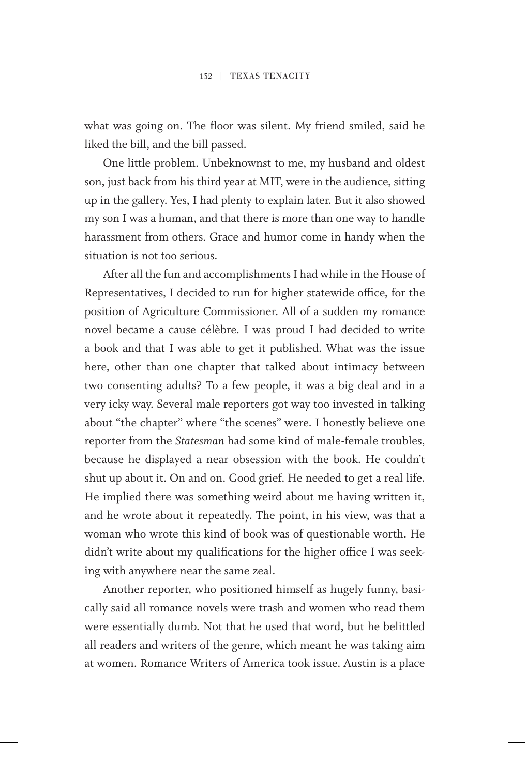what was going on. The floor was silent. My friend smiled, said he liked the bill, and the bill passed.

One little problem. Unbeknownst to me, my husband and oldest son, just back from his third year at MIT, were in the audience, sitting up in the gallery. Yes, I had plenty to explain later. But it also showed my son I was a human, and that there is more than one way to handle harassment from others. Grace and humor come in handy when the situation is not too serious.

After all the fun and accomplishments I had while in the House of Representatives, I decided to run for higher statewide office, for the position of Agriculture Commissioner. All of a sudden my romance novel became a cause célèbre. I was proud I had decided to write a book and that I was able to get it published. What was the issue here, other than one chapter that talked about intimacy between two consenting adults? To a few people, it was a big deal and in a very icky way. Several male reporters got way too invested in talking about "the chapter" where "the scenes" were. I honestly believe one reporter from the *Statesman* had some kind of male-female troubles, because he displayed a near obsession with the book. He couldn't shut up about it. On and on. Good grief. He needed to get a real life. He implied there was something weird about me having written it, and he wrote about it repeatedly. The point, in his view, was that a woman who wrote this kind of book was of questionable worth. He didn't write about my qualifications for the higher office I was seeking with anywhere near the same zeal.

Another reporter, who positioned himself as hugely funny, basically said all romance novels were trash and women who read them were essentially dumb. Not that he used that word, but he belittled all readers and writers of the genre, which meant he was taking aim at women. Romance Writers of America took issue. Austin is a place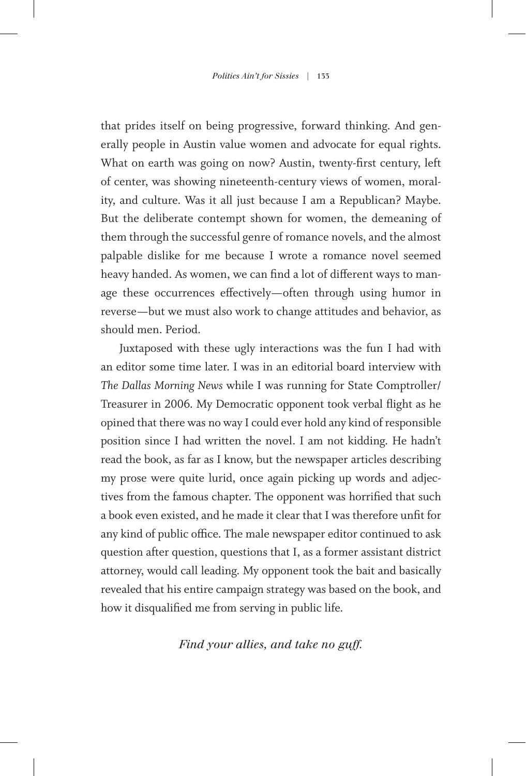that prides itself on being progressive, forward thinking. And generally people in Austin value women and advocate for equal rights. What on earth was going on now? Austin, twenty-first century, left of center, was showing nineteenth-century views of women, morality, and culture. Was it all just because I am a Republican? Maybe. But the deliberate contempt shown for women, the demeaning of them through the successful genre of romance novels, and the almost palpable dislike for me because I wrote a romance novel seemed heavy handed. As women, we can find a lot of different ways to manage these occurrences effectively—often through using humor in reverse—but we must also work to change attitudes and behavior, as should men. Period.

Juxtaposed with these ugly interactions was the fun I had with an editor some time later. I was in an editorial board interview with *The Dallas Morning News* while I was running for State Comptroller/ Treasurer in 2006. My Democratic opponent took verbal flight as he opined that there was no way I could ever hold any kind of responsible position since I had written the novel. I am not kidding. He hadn't read the book, as far as I know, but the newspaper articles describing my prose were quite lurid, once again picking up words and adjectives from the famous chapter. The opponent was horrified that such a book even existed, and he made it clear that I was therefore unfit for any kind of public office. The male newspaper editor continued to ask question after question, questions that I, as a former assistant district attorney, would call leading. My opponent took the bait and basically revealed that his entire campaign strategy was based on the book, and how it disqualified me from serving in public life.

*Find your allies, and take no guff.*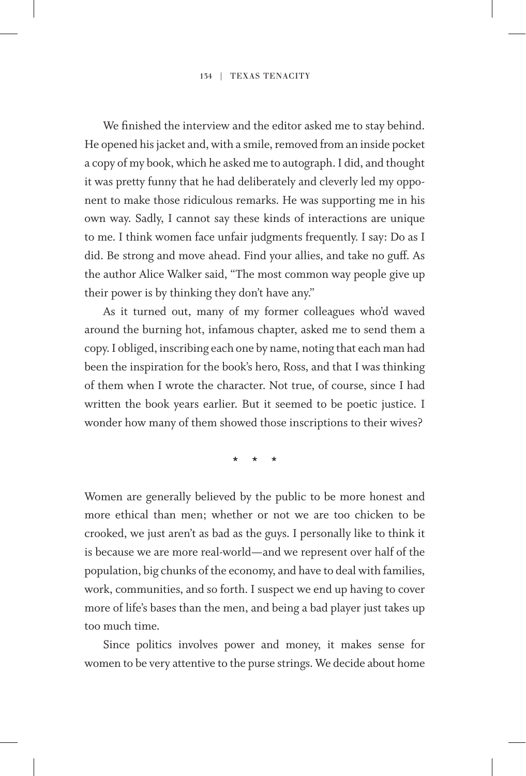We finished the interview and the editor asked me to stay behind. He opened his jacket and, with a smile, removed from an inside pocket a copy of my book, which he asked me to autograph. I did, and thought it was pretty funny that he had deliberately and cleverly led my opponent to make those ridiculous remarks. He was supporting me in his own way. Sadly, I cannot say these kinds of interactions are unique to me. I think women face unfair judgments frequently. I say: Do as I did. Be strong and move ahead. Find your allies, and take no guff. As the author Alice Walker said, "The most common way people give up their power is by thinking they don't have any."

As it turned out, many of my former colleagues who'd waved around the burning hot, infamous chapter, asked me to send them a copy. I obliged, inscribing each one by name, noting that each man had been the inspiration for the book's hero, Ross, and that I was thinking of them when I wrote the character. Not true, of course, since I had written the book years earlier. But it seemed to be poetic justice. I wonder how many of them showed those inscriptions to their wives?

\* \* \*

Women are generally believed by the public to be more honest and more ethical than men; whether or not we are too chicken to be crooked, we just aren't as bad as the guys. I personally like to think it is because we are more real-world—and we represent over half of the population, big chunks of the economy, and have to deal with families, work, communities, and so forth. I suspect we end up having to cover more of life's bases than the men, and being a bad player just takes up too much time.

Since politics involves power and money, it makes sense for women to be very attentive to the purse strings. We decide about home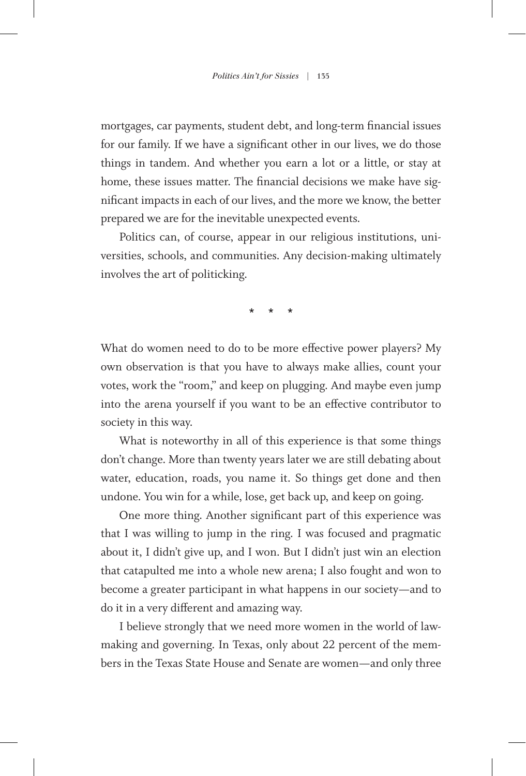mortgages, car payments, student debt, and long-term financial issues for our family. If we have a significant other in our lives, we do those things in tandem. And whether you earn a lot or a little, or stay at home, these issues matter. The financial decisions we make have significant impacts in each of our lives, and the more we know, the better prepared we are for the inevitable unexpected events.

Politics can, of course, appear in our religious institutions, universities, schools, and communities. Any decision-making ultimately involves the art of politicking.

\* \* \*

What do women need to do to be more effective power players? My own observation is that you have to always make allies, count your votes, work the "room," and keep on plugging. And maybe even jump into the arena yourself if you want to be an effective contributor to society in this way.

What is noteworthy in all of this experience is that some things don't change. More than twenty years later we are still debating about water, education, roads, you name it. So things get done and then undone. You win for a while, lose, get back up, and keep on going.

One more thing. Another significant part of this experience was that I was willing to jump in the ring. I was focused and pragmatic about it, I didn't give up, and I won. But I didn't just win an election that catapulted me into a whole new arena; I also fought and won to become a greater participant in what happens in our society—and to do it in a very different and amazing way.

I believe strongly that we need more women in the world of lawmaking and governing. In Texas, only about 22 percent of the members in the Texas State House and Senate are women—and only three